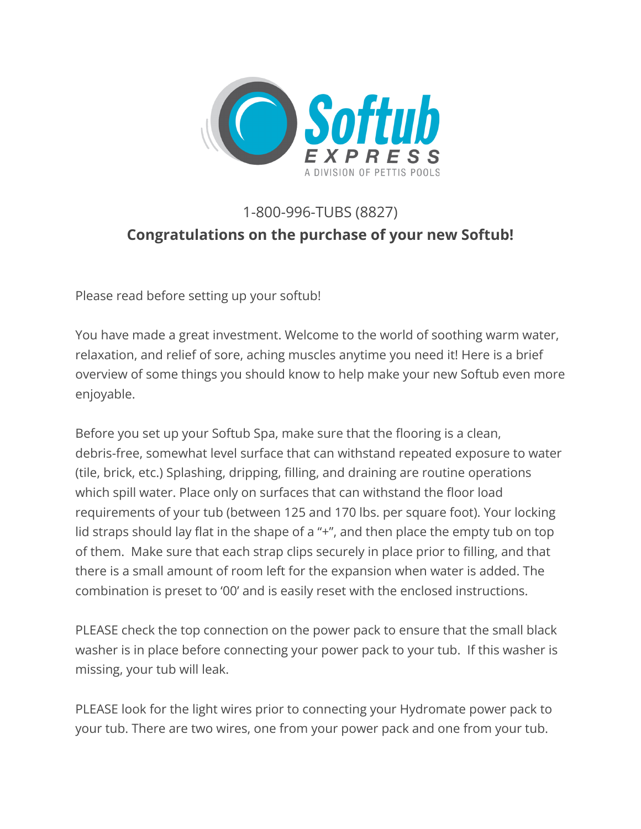

# 1-800-996-TUBS (8827) **Congratulations on the purchase of your new Softub!**

Please read before setting up your softub!

You have made a great investment. Welcome to the world of soothing warm water, relaxation, and relief of sore, aching muscles anytime you need it! Here is a brief overview of some things you should know to help make your new Softub even more enjoyable.

Before you set up your Softub Spa, make sure that the flooring is a clean, debris-free, somewhat level surface that can withstand repeated exposure to water (tile, brick, etc.) Splashing, dripping, filling, and draining are routine operations which spill water. Place only on surfaces that can withstand the floor load requirements of your tub (between 125 and 170 lbs. per square foot). Your locking lid straps should lay flat in the shape of a "+", and then place the empty tub on top of them. Make sure that each strap clips securely in place prior to filling, and that there is a small amount of room left for the expansion when water is added. The combination is preset to '00' and is easily reset with the enclosed instructions.

PLEASE check the top connection on the power pack to ensure that the small black washer is in place before connecting your power pack to your tub. If this washer is missing, your tub will leak.

PLEASE look for the light wires prior to connecting your Hydromate power pack to your tub. There are two wires, one from your power pack and one from your tub.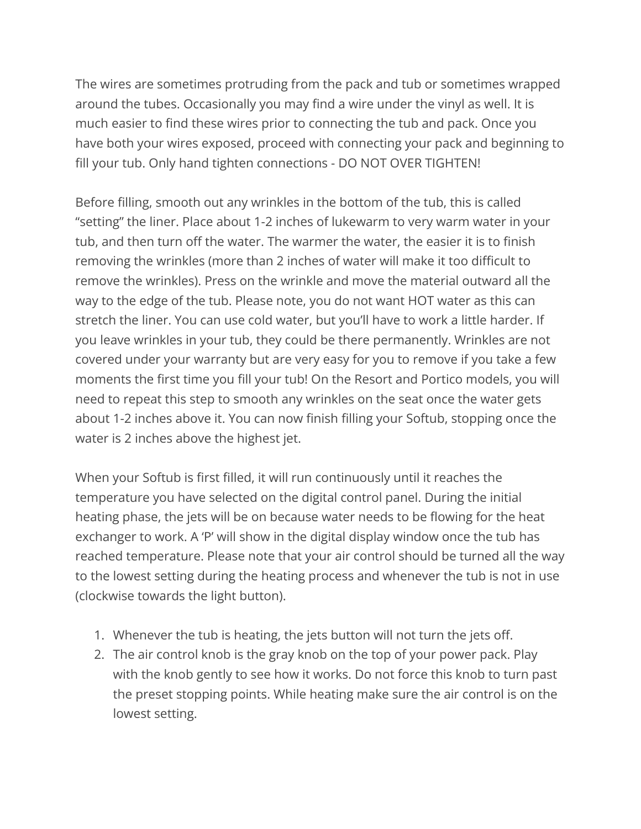The wires are sometimes protruding from the pack and tub or sometimes wrapped around the tubes. Occasionally you may find a wire under the vinyl as well. It is much easier to find these wires prior to connecting the tub and pack. Once you have both your wires exposed, proceed with connecting your pack and beginning to fill your tub. Only hand tighten connections - DO NOT OVER TIGHTEN!

Before filling, smooth out any wrinkles in the bottom of the tub, this is called "setting" the liner. Place about 1-2 inches of lukewarm to very warm water in your tub, and then turn off the water. The warmer the water, the easier it is to finish removing the wrinkles (more than 2 inches of water will make it too difficult to remove the wrinkles). Press on the wrinkle and move the material outward all the way to the edge of the tub. Please note, you do not want HOT water as this can stretch the liner. You can use cold water, but you'll have to work a little harder. If you leave wrinkles in your tub, they could be there permanently. Wrinkles are not covered under your warranty but are very easy for you to remove if you take a few moments the first time you fill your tub! On the Resort and Portico models, you will need to repeat this step to smooth any wrinkles on the seat once the water gets about 1-2 inches above it. You can now finish filling your Softub, stopping once the water is 2 inches above the highest jet.

When your Softub is first filled, it will run continuously until it reaches the temperature you have selected on the digital control panel. During the initial heating phase, the jets will be on because water needs to be flowing for the heat exchanger to work. A 'P' will show in the digital display window once the tub has reached temperature. Please note that your air control should be turned all the way to the lowest setting during the heating process and whenever the tub is not in use (clockwise towards the light button).

- 1. Whenever the tub is heating, the jets button will not turn the jets off.
- 2. The air control knob is the gray knob on the top of your power pack. Play with the knob gently to see how it works. Do not force this knob to turn past the preset stopping points. While heating make sure the air control is on the lowest setting.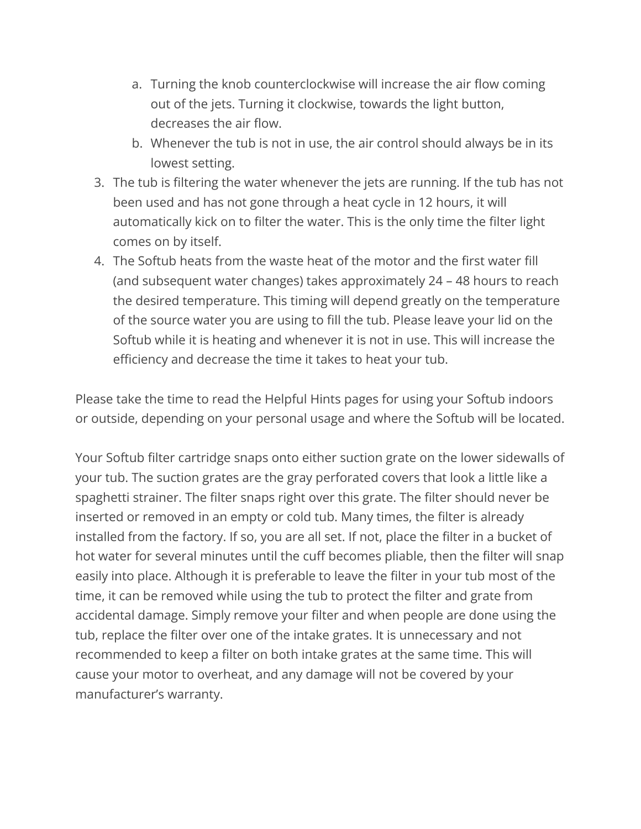- a. Turning the knob counterclockwise will increase the air flow coming out of the jets. Turning it clockwise, towards the light button, decreases the air flow.
- b. Whenever the tub is not in use, the air control should always be in its lowest setting.
- 3. The tub is filtering the water whenever the jets are running. If the tub has not been used and has not gone through a heat cycle in 12 hours, it will automatically kick on to filter the water. This is the only time the filter light comes on by itself.
- 4. The Softub heats from the waste heat of the motor and the first water fill (and subsequent water changes) takes approximately 24 – 48 hours to reach the desired temperature. This timing will depend greatly on the temperature of the source water you are using to fill the tub. Please leave your lid on the Softub while it is heating and whenever it is not in use. This will increase the efficiency and decrease the time it takes to heat your tub.

Please take the time to read the Helpful Hints pages for using your Softub indoors or outside, depending on your personal usage and where the Softub will be located.

Your Softub filter cartridge snaps onto either suction grate on the lower sidewalls of your tub. The suction grates are the gray perforated covers that look a little like a spaghetti strainer. The filter snaps right over this grate. The filter should never be inserted or removed in an empty or cold tub. Many times, the filter is already installed from the factory. If so, you are all set. If not, place the filter in a bucket of hot water for several minutes until the cuff becomes pliable, then the filter will snap easily into place. Although it is preferable to leave the filter in your tub most of the time, it can be removed while using the tub to protect the filter and grate from accidental damage. Simply remove your filter and when people are done using the tub, replace the filter over one of the intake grates. It is unnecessary and not recommended to keep a filter on both intake grates at the same time. This will cause your motor to overheat, and any damage will not be covered by your manufacturer's warranty.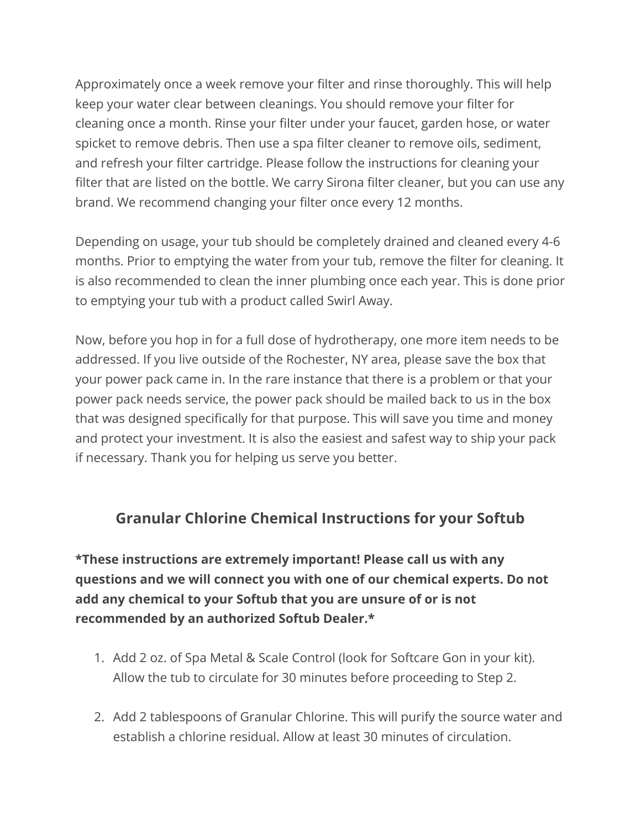Approximately once a week remove your filter and rinse thoroughly. This will help keep your water clear between cleanings. You should remove your filter for cleaning once a month. Rinse your filter under your faucet, garden hose, or water spicket to remove debris. Then use a spa filter cleaner to remove oils, sediment, and refresh your filter cartridge. Please follow the instructions for cleaning your filter that are listed on the bottle. We carry Sirona filter cleaner, but you can use any brand. We recommend changing your filter once every 12 months.

Depending on usage, your tub should be completely drained and cleaned every 4-6 months. Prior to emptying the water from your tub, remove the filter for cleaning. It is also recommended to clean the inner plumbing once each year. This is done prior to emptying your tub with a product called Swirl Away.

Now, before you hop in for a full dose of hydrotherapy, one more item needs to be addressed. If you live outside of the Rochester, NY area, please save the box that your power pack came in. In the rare instance that there is a problem or that your power pack needs service, the power pack should be mailed back to us in the box that was designed specifically for that purpose. This will save you time and money and protect your investment. It is also the easiest and safest way to ship your pack if necessary. Thank you for helping us serve you better.

#### **Granular Chlorine Chemical Instructions for your Softub**

**\*These instructions are extremely important! Please call us with any questions and we will connect you with one of our chemical experts. Do not add any chemical to your Softub that you are unsure of or is not recommended by an authorized Softub Dealer.\***

- 1. Add 2 oz. of Spa Metal & Scale Control (look for Softcare Gon in your kit). Allow the tub to circulate for 30 minutes before proceeding to Step 2.
- 2. Add 2 tablespoons of Granular Chlorine. This will purify the source water and establish a chlorine residual. Allow at least 30 minutes of circulation.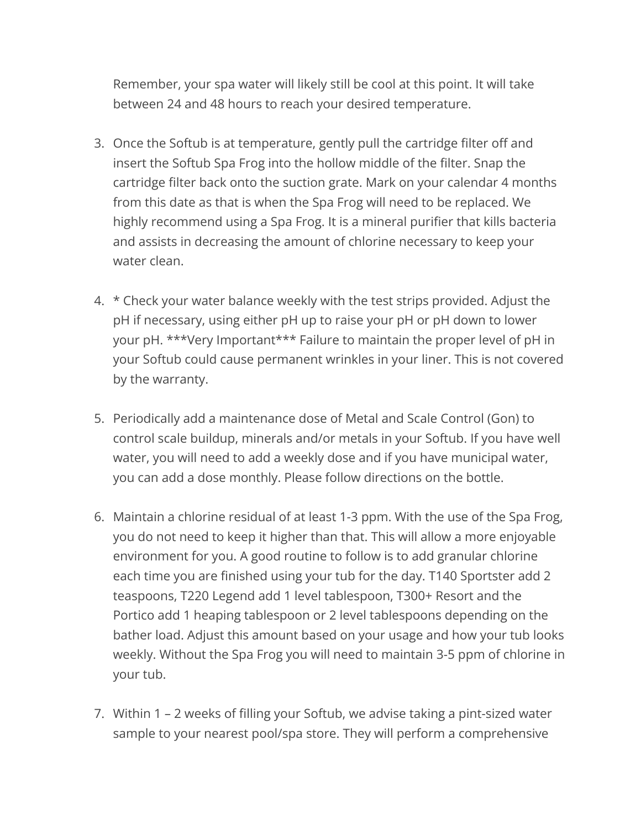Remember, your spa water will likely still be cool at this point. It will take between 24 and 48 hours to reach your desired temperature.

- 3. Once the Softub is at temperature, gently pull the cartridge filter off and insert the Softub Spa Frog into the hollow middle of the filter. Snap the cartridge filter back onto the suction grate. Mark on your calendar 4 months from this date as that is when the Spa Frog will need to be replaced. We highly recommend using a Spa Frog. It is a mineral purifier that kills bacteria and assists in decreasing the amount of chlorine necessary to keep your water clean.
- 4. \* Check your water balance weekly with the test strips provided. Adjust the pH if necessary, using either pH up to raise your pH or pH down to lower your pH. \*\*\*Very Important\*\*\* Failure to maintain the proper level of pH in your Softub could cause permanent wrinkles in your liner. This is not covered by the warranty.
- 5. Periodically add a maintenance dose of Metal and Scale Control (Gon) to control scale buildup, minerals and/or metals in your Softub. If you have well water, you will need to add a weekly dose and if you have municipal water, you can add a dose monthly. Please follow directions on the bottle.
- 6. Maintain a chlorine residual of at least 1-3 ppm. With the use of the Spa Frog, you do not need to keep it higher than that. This will allow a more enjoyable environment for you. A good routine to follow is to add granular chlorine each time you are finished using your tub for the day. T140 Sportster add 2 teaspoons, T220 Legend add 1 level tablespoon, T300+ Resort and the Portico add 1 heaping tablespoon or 2 level tablespoons depending on the bather load. Adjust this amount based on your usage and how your tub looks weekly. Without the Spa Frog you will need to maintain 3-5 ppm of chlorine in your tub.
- 7. Within 1 2 weeks of filling your Softub, we advise taking a pint-sized water sample to your nearest pool/spa store. They will perform a comprehensive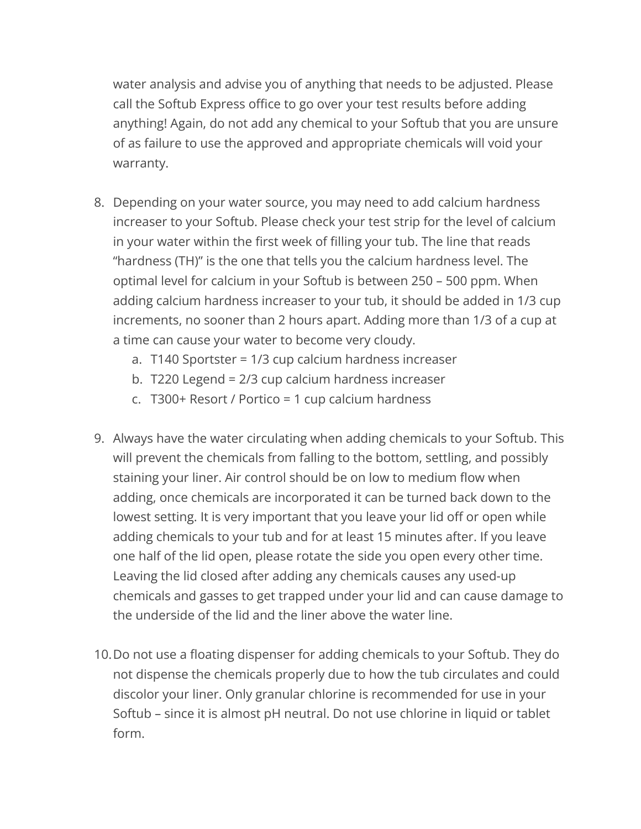water analysis and advise you of anything that needs to be adjusted. Please call the Softub Express office to go over your test results before adding anything! Again, do not add any chemical to your Softub that you are unsure of as failure to use the approved and appropriate chemicals will void your warranty.

- 8. Depending on your water source, you may need to add calcium hardness increaser to your Softub. Please check your test strip for the level of calcium in your water within the first week of filling your tub. The line that reads "hardness (TH)" is the one that tells you the calcium hardness level. The optimal level for calcium in your Softub is between 250 – 500 ppm. When adding calcium hardness increaser to your tub, it should be added in 1/3 cup increments, no sooner than 2 hours apart. Adding more than 1/3 of a cup at a time can cause your water to become very cloudy.
	- a. T140 Sportster = 1/3 cup calcium hardness increaser
	- b. T220 Legend = 2/3 cup calcium hardness increaser
	- c. T300+ Resort / Portico = 1 cup calcium hardness
- 9. Always have the water circulating when adding chemicals to your Softub. This will prevent the chemicals from falling to the bottom, settling, and possibly staining your liner. Air control should be on low to medium flow when adding, once chemicals are incorporated it can be turned back down to the lowest setting. It is very important that you leave your lid off or open while adding chemicals to your tub and for at least 15 minutes after. If you leave one half of the lid open, please rotate the side you open every other time. Leaving the lid closed after adding any chemicals causes any used-up chemicals and gasses to get trapped under your lid and can cause damage to the underside of the lid and the liner above the water line.
- 10.Do not use a floating dispenser for adding chemicals to your Softub. They do not dispense the chemicals properly due to how the tub circulates and could discolor your liner. Only granular chlorine is recommended for use in your Softub – since it is almost pH neutral. Do not use chlorine in liquid or tablet form.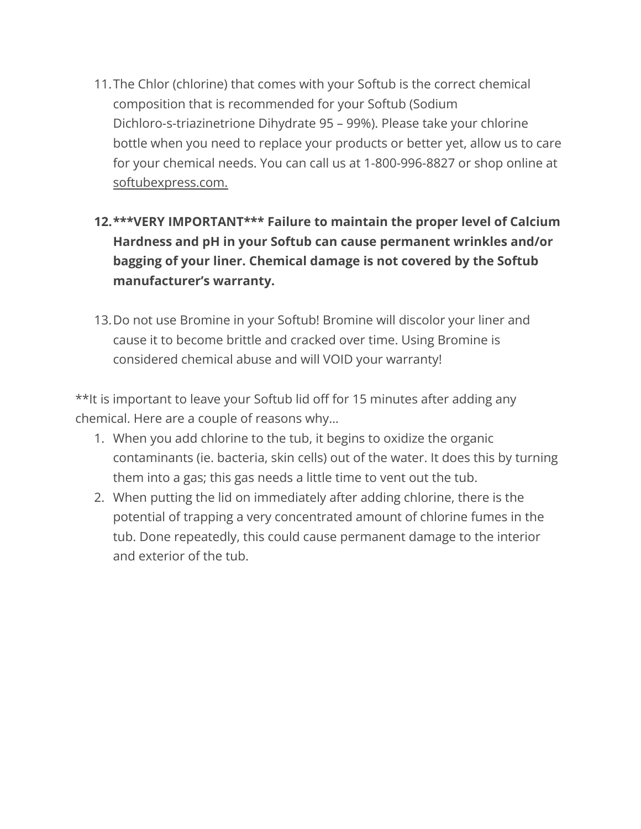- 11.The Chlor (chlorine) that comes with your Softub is the correct chemical composition that is recommended for your Softub (Sodium Dichloro-s-triazinetrione Dihydrate 95 – 99%). Please take your chlorine bottle when you need to replace your products or better yet, allow us to care for your chemical needs. You can call us at 1-800-996-8827 or shop online at [softubexpress.com.](http://www.softubexpress.com./)
- **12.\*\*\*VERY IMPORTANT\*\*\* Failure to maintain the proper level of Calcium Hardness and pH in your Softub can cause permanent wrinkles and/or bagging of your liner. Chemical damage is not covered by the Softub manufacturer's warranty.**
- 13.Do not use Bromine in your Softub! Bromine will discolor your liner and cause it to become brittle and cracked over time. Using Bromine is considered chemical abuse and will VOID your warranty!

\*\*It is important to leave your Softub lid off for 15 minutes after adding any chemical. Here are a couple of reasons why…

- 1. When you add chlorine to the tub, it begins to oxidize the organic contaminants (ie. bacteria, skin cells) out of the water. It does this by turning them into a gas; this gas needs a little time to vent out the tub.
- 2. When putting the lid on immediately after adding chlorine, there is the potential of trapping a very concentrated amount of chlorine fumes in the tub. Done repeatedly, this could cause permanent damage to the interior and exterior of the tub.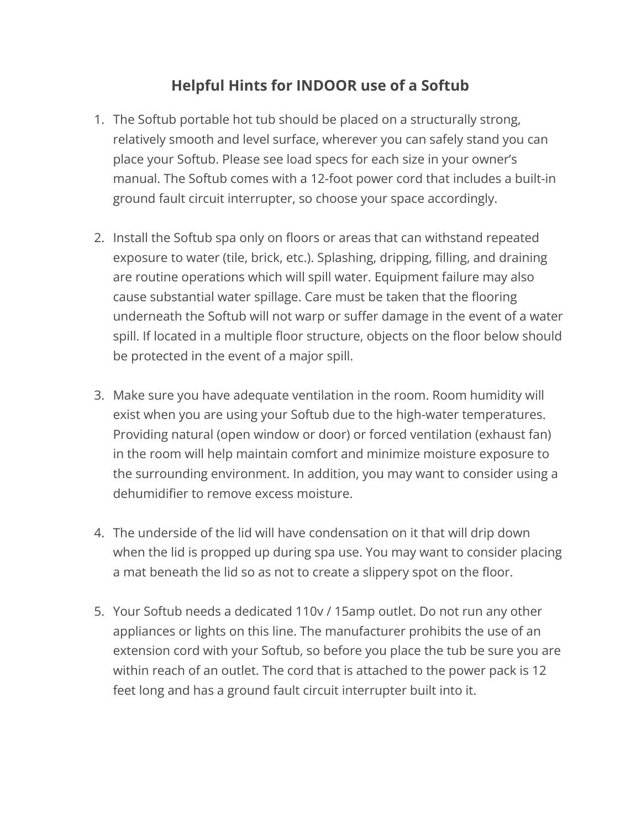#### **Helpful Hints for INDOOR use of a Softub**

- 1. The Softub portable hot tub should be placed on a structurally strong, relatively smooth and level surface, wherever you can safely stand you can place your Softub. Please see load specs for each size in your owner's manual. The Softub comes with a 12-foot power cord that includes a built-in ground fault circuit interrupter, so choose your space accordingly.
- 2. Install the Softub spa only on floors or areas that can withstand repeated exposure to water (tile, brick, etc.). Splashing, dripping, filling, and draining are routine operations which will spill water. Equipment failure may also cause substantial water spillage. Care must be taken that the flooring underneath the Softub will not warp or suffer damage in the event of a water spill. If located in a multiple floor structure, objects on the floor below should be protected in the event of a major spill.
- 3. Make sure you have adequate ventilation in the room. Room humidity will exist when you are using your Softub due to the high-water temperatures. Providing natural (open window or door) or forced ventilation (exhaust fan) in the room will help maintain comfort and minimize moisture exposure to the surrounding environment. In addition, you may want to consider using a dehumidifier to remove excess moisture.
- 4. The underside of the lid will have condensation on it that will drip down when the lid is propped up during spa use. You may want to consider placing a mat beneath the lid so as not to create a slippery spot on the floor.
- 5. Your Softub needs a dedicated 110v / 15amp outlet. Do not run any other appliances or lights on this line. The manufacturer prohibits the use of an extension cord with your Softub, so before you place the tub be sure you are within reach of an outlet. The cord that is attached to the power pack is 12 feet long and has a ground fault circuit interrupter built into it.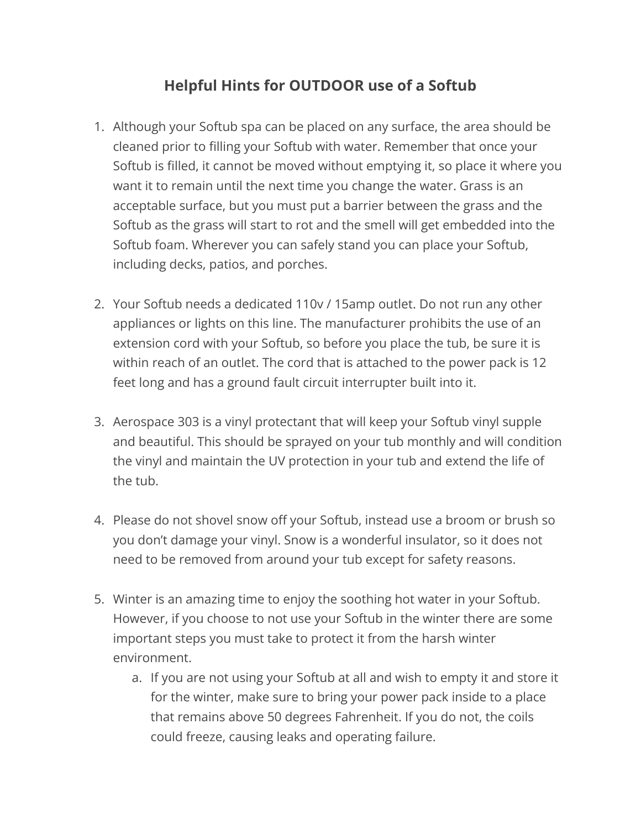#### **Helpful Hints for OUTDOOR use of a Softub**

- 1. Although your Softub spa can be placed on any surface, the area should be cleaned prior to filling your Softub with water. Remember that once your Softub is filled, it cannot be moved without emptying it, so place it where you want it to remain until the next time you change the water. Grass is an acceptable surface, but you must put a barrier between the grass and the Softub as the grass will start to rot and the smell will get embedded into the Softub foam. Wherever you can safely stand you can place your Softub, including decks, patios, and porches.
- 2. Your Softub needs a dedicated 110v / 15amp outlet. Do not run any other appliances or lights on this line. The manufacturer prohibits the use of an extension cord with your Softub, so before you place the tub, be sure it is within reach of an outlet. The cord that is attached to the power pack is 12 feet long and has a ground fault circuit interrupter built into it.
- 3. Aerospace 303 is a vinyl protectant that will keep your Softub vinyl supple and beautiful. This should be sprayed on your tub monthly and will condition the vinyl and maintain the UV protection in your tub and extend the life of the tub.
- 4. Please do not shovel snow off your Softub, instead use a broom or brush so you don't damage your vinyl. Snow is a wonderful insulator, so it does not need to be removed from around your tub except for safety reasons.
- 5. Winter is an amazing time to enjoy the soothing hot water in your Softub. However, if you choose to not use your Softub in the winter there are some important steps you must take to protect it from the harsh winter environment.
	- a. If you are not using your Softub at all and wish to empty it and store it for the winter, make sure to bring your power pack inside to a place that remains above 50 degrees Fahrenheit. If you do not, the coils could freeze, causing leaks and operating failure.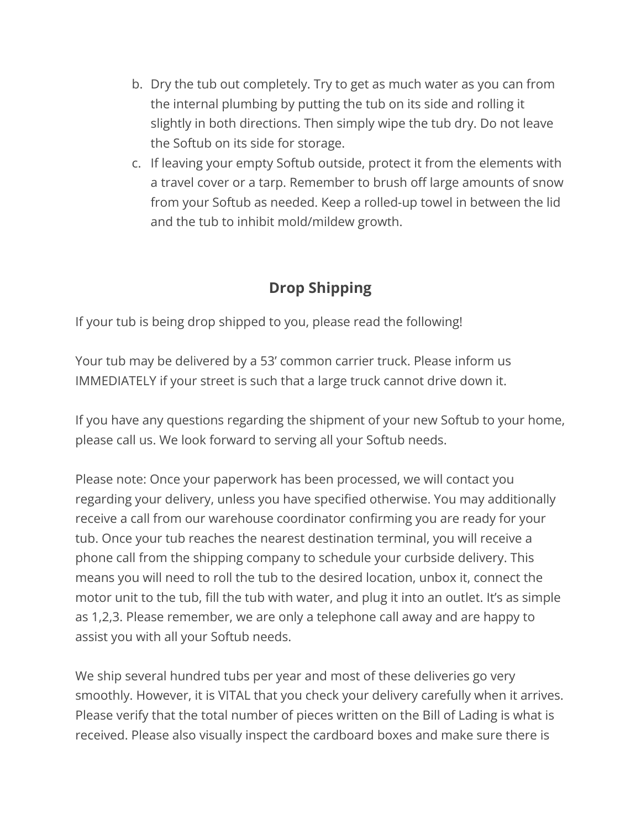- b. Dry the tub out completely. Try to get as much water as you can from the internal plumbing by putting the tub on its side and rolling it slightly in both directions. Then simply wipe the tub dry. Do not leave the Softub on its side for storage.
- c. If leaving your empty Softub outside, protect it from the elements with a travel cover or a tarp. Remember to brush off large amounts of snow from your Softub as needed. Keep a rolled-up towel in between the lid and the tub to inhibit mold/mildew growth.

## **Drop Shipping**

If your tub is being drop shipped to you, please read the following!

Your tub may be delivered by a 53' common carrier truck. Please inform us IMMEDIATELY if your street is such that a large truck cannot drive down it.

If you have any questions regarding the shipment of your new Softub to your home, please call us. We look forward to serving all your Softub needs.

Please note: Once your paperwork has been processed, we will contact you regarding your delivery, unless you have specified otherwise. You may additionally receive a call from our warehouse coordinator confirming you are ready for your tub. Once your tub reaches the nearest destination terminal, you will receive a phone call from the shipping company to schedule your curbside delivery. This means you will need to roll the tub to the desired location, unbox it, connect the motor unit to the tub, fill the tub with water, and plug it into an outlet. It's as simple as 1,2,3. Please remember, we are only a telephone call away and are happy to assist you with all your Softub needs.

We ship several hundred tubs per year and most of these deliveries go very smoothly. However, it is VITAL that you check your delivery carefully when it arrives. Please verify that the total number of pieces written on the Bill of Lading is what is received. Please also visually inspect the cardboard boxes and make sure there is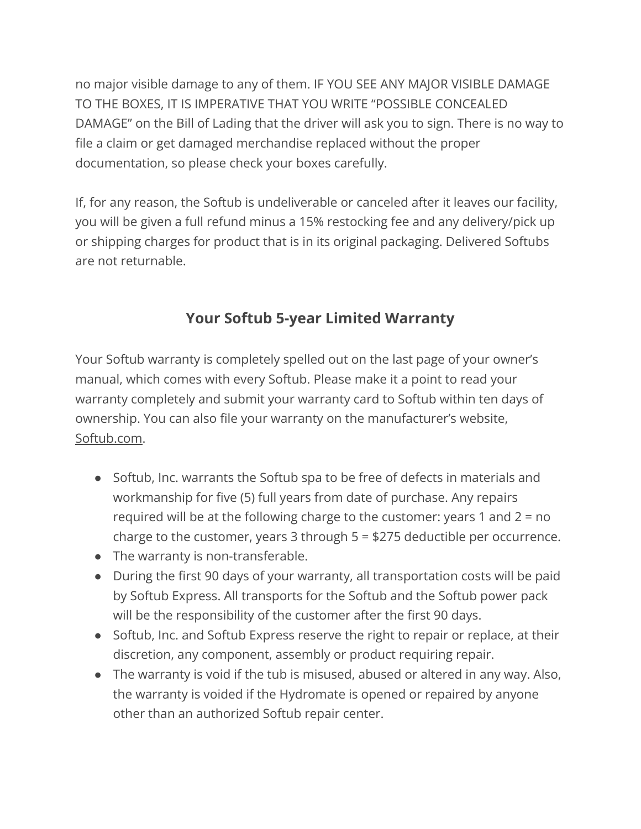no major visible damage to any of them. IF YOU SEE ANY MAJOR VISIBLE DAMAGE TO THE BOXES, IT IS IMPERATIVE THAT YOU WRITE "POSSIBLE CONCEALED DAMAGE" on the Bill of Lading that the driver will ask you to sign. There is no way to file a claim or get damaged merchandise replaced without the proper documentation, so please check your boxes carefully.

If, for any reason, the Softub is undeliverable or canceled after it leaves our facility, you will be given a full refund minus a 15% restocking fee and any delivery/pick up or shipping charges for product that is in its original packaging. Delivered Softubs are not returnable.

### **Your Softub 5-year Limited Warranty**

Your Softub warranty is completely spelled out on the last page of your owner's manual, which comes with every Softub. Please make it a point to read your warranty completely and submit your warranty card to Softub within ten days of ownership. You can also file your warranty on the manufacturer's website[,](https://softub.com) [Softub.com](https://softub.com).

- Softub, Inc. warrants the Softub spa to be free of defects in materials and workmanship for five (5) full years from date of purchase. Any repairs required will be at the following charge to the customer: years 1 and 2 = no charge to the customer, years 3 through 5 = \$275 deductible per occurrence.
- The warranty is non-transferable.
- During the first 90 days of your warranty, all transportation costs will be paid by Softub Express. All transports for the Softub and the Softub power pack will be the responsibility of the customer after the first 90 days.
- Softub, Inc. and Softub Express reserve the right to repair or replace, at their discretion, any component, assembly or product requiring repair.
- The warranty is void if the tub is misused, abused or altered in any way. Also, the warranty is voided if the Hydromate is opened or repaired by anyone other than an authorized Softub repair center.